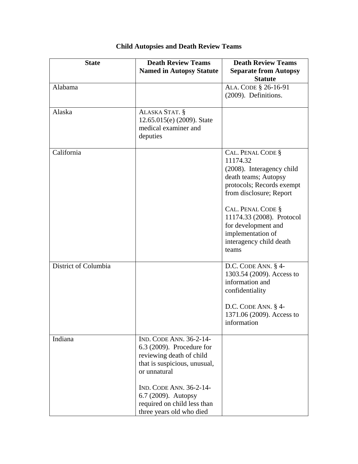| <b>State</b>         | <b>Death Review Teams</b><br><b>Named in Autopsy Statute</b>                                                                                                                                                                                           | <b>Death Review Teams</b><br><b>Separate from Autopsy</b><br><b>Statute</b>                                                                                                                                                                                                  |
|----------------------|--------------------------------------------------------------------------------------------------------------------------------------------------------------------------------------------------------------------------------------------------------|------------------------------------------------------------------------------------------------------------------------------------------------------------------------------------------------------------------------------------------------------------------------------|
| Alabama              |                                                                                                                                                                                                                                                        | ALA. CODE § 26-16-91<br>(2009). Definitions.                                                                                                                                                                                                                                 |
| Alaska               | ALASKA STAT. §<br>12.65.015(e) (2009). State<br>medical examiner and<br>deputies                                                                                                                                                                       |                                                                                                                                                                                                                                                                              |
| California           |                                                                                                                                                                                                                                                        | CAL. PENAL CODE §<br>11174.32<br>(2008). Interagency child<br>death teams; Autopsy<br>protocols; Records exempt<br>from disclosure; Report<br>CAL. PENAL CODE §<br>11174.33 (2008). Protocol<br>for development and<br>implementation of<br>interagency child death<br>teams |
| District of Columbia |                                                                                                                                                                                                                                                        | D.C. CODE ANN. § 4-<br>1303.54 (2009). Access to<br>information and<br>confidentiality<br>D.C. CODE ANN. § 4-<br>1371.06 (2009). Access to<br>information                                                                                                                    |
| Indiana              | <b>IND. CODE ANN. 36-2-14-</b><br>$6.3$ (2009). Procedure for<br>reviewing death of child<br>that is suspicious, unusual,<br>or unnatural<br>IND. CODE ANN. 36-2-14-<br>6.7 (2009). Autopsy<br>required on child less than<br>three years old who died |                                                                                                                                                                                                                                                                              |

## **Child Autopsies and Death Review Teams**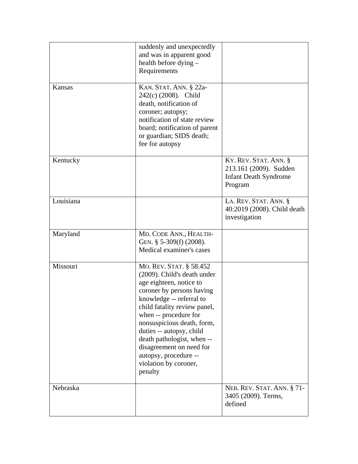|           | suddenly and unexpectedly<br>and was in apparent good<br>health before dying -<br>Requirements                                                                                                                                                                                                                                                                                       |                                                                                            |
|-----------|--------------------------------------------------------------------------------------------------------------------------------------------------------------------------------------------------------------------------------------------------------------------------------------------------------------------------------------------------------------------------------------|--------------------------------------------------------------------------------------------|
| Kansas    | KAN. STAT. ANN. § 22a-<br>242(c) (2008). Child<br>death, notification of<br>coroner; autopsy;<br>notification of state review<br>board; notification of parent<br>or guardian; SIDS death;<br>fee for autopsy                                                                                                                                                                        |                                                                                            |
| Kentucky  |                                                                                                                                                                                                                                                                                                                                                                                      | KY. REV. STAT. ANN. §<br>213.161 (2009). Sudden<br><b>Infant Death Syndrome</b><br>Program |
| Louisiana |                                                                                                                                                                                                                                                                                                                                                                                      | LA. REV. STAT. ANN. §<br>40:2019 (2008). Child death<br>investigation                      |
| Maryland  | MD. CODE ANN., HEALTH-<br>GEN. $§$ 5-309(f) (2008).<br>Medical examiner's cases                                                                                                                                                                                                                                                                                                      |                                                                                            |
| Missouri  | MO. REV. STAT. § 58.452<br>(2009). Child's death under<br>age eighteen, notice to<br>coroner by persons having<br>knowledge -- referral to<br>child fatality review panel,<br>when -- procedure for<br>nonsuspicious death, form,<br>duties -- autopsy, child<br>death pathologist, when --<br>disagreement on need for<br>autopsy, procedure --<br>violation by coroner,<br>penalty |                                                                                            |
| Nebraska  |                                                                                                                                                                                                                                                                                                                                                                                      | NEB. REV. STAT. ANN. § 71-<br>3405 (2009). Terms,<br>defined                               |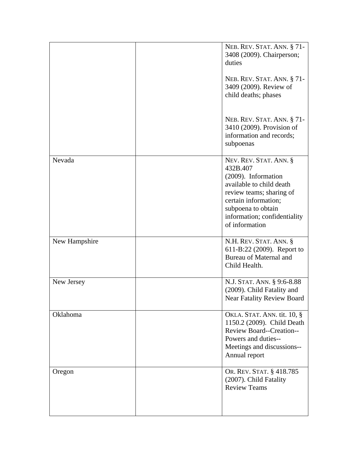|               | NEB. REV. STAT. ANN. § 71-<br>3408 (2009). Chairperson;<br>duties<br>NEB. REV. STAT. ANN. § 71-<br>3409 (2009). Review of<br>child deaths; phases                                                                 |
|---------------|-------------------------------------------------------------------------------------------------------------------------------------------------------------------------------------------------------------------|
|               | NEB. REV. STAT. ANN. § 71-<br>3410 (2009). Provision of<br>information and records;<br>subpoenas                                                                                                                  |
| Nevada        | NEV. REV. STAT. ANN. §<br>432B.407<br>(2009). Information<br>available to child death<br>review teams; sharing of<br>certain information;<br>subpoena to obtain<br>information; confidentiality<br>of information |
| New Hampshire | N.H. REV. STAT. ANN. §<br>611-B:22 (2009). Report to<br>Bureau of Maternal and<br>Child Health.                                                                                                                   |
| New Jersey    | N.J. STAT. ANN. § 9:6-8.88<br>(2009). Child Fatality and<br><b>Near Fatality Review Board</b>                                                                                                                     |
| Oklahoma      | <b>OKLA. STAT. ANN. tit. 10, §</b><br>1150.2 (2009). Child Death<br>Review Board--Creation--<br>Powers and duties--<br>Meetings and discussions--<br>Annual report                                                |
| Oregon        | OR. REV. STAT. § 418.785<br>(2007). Child Fatality<br><b>Review Teams</b>                                                                                                                                         |